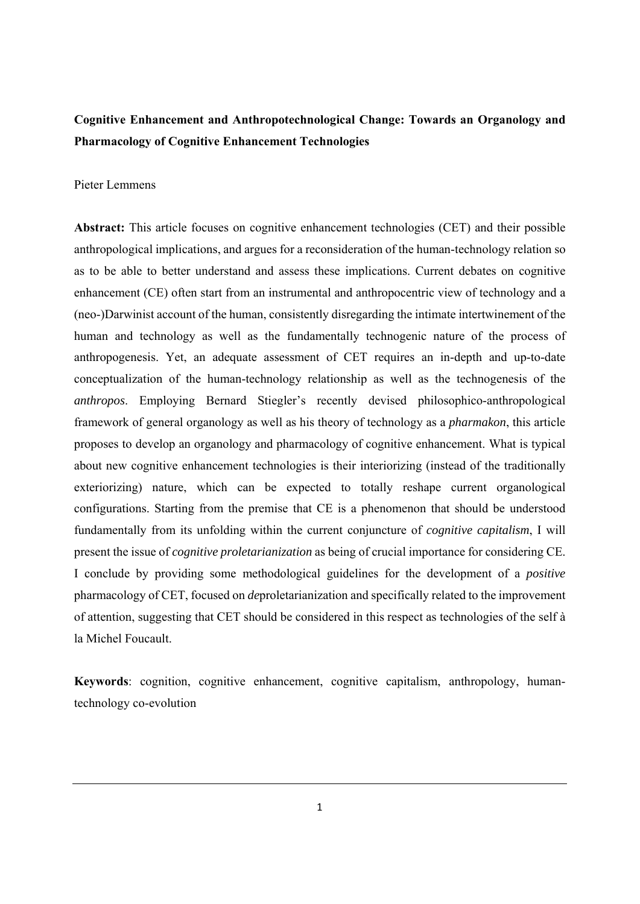# **Cognitive Enhancement and Anthropotechnological Change: Towards an Organology and Pharmacology of Cognitive Enhancement Technologies**

### Pieter Lemmens

**Abstract:** This article focuses on cognitive enhancement technologies (CET) and their possible anthropological implications, and argues for a reconsideration of the human-technology relation so as to be able to better understand and assess these implications. Current debates on cognitive enhancement (CE) often start from an instrumental and anthropocentric view of technology and a (neo-)Darwinist account of the human, consistently disregarding the intimate intertwinement of the human and technology as well as the fundamentally technogenic nature of the process of anthropogenesis. Yet, an adequate assessment of CET requires an in-depth and up-to-date conceptualization of the human-technology relationship as well as the technogenesis of the *anthropos*. Employing Bernard Stiegler's recently devised philosophico-anthropological framework of general organology as well as his theory of technology as a *pharmakon*, this article proposes to develop an organology and pharmacology of cognitive enhancement. What is typical about new cognitive enhancement technologies is their interiorizing (instead of the traditionally exteriorizing) nature, which can be expected to totally reshape current organological configurations. Starting from the premise that CE is a phenomenon that should be understood fundamentally from its unfolding within the current conjuncture of *cognitive capitalism*, I will present the issue of *cognitive proletarianization* as being of crucial importance for considering CE. I conclude by providing some methodological guidelines for the development of a *positive* pharmacology of CET, focused on *de*proletarianization and specifically related to the improvement of attention, suggesting that CET should be considered in this respect as technologies of the self à la Michel Foucault.

**Keywords**: cognition, cognitive enhancement, cognitive capitalism, anthropology, humantechnology co-evolution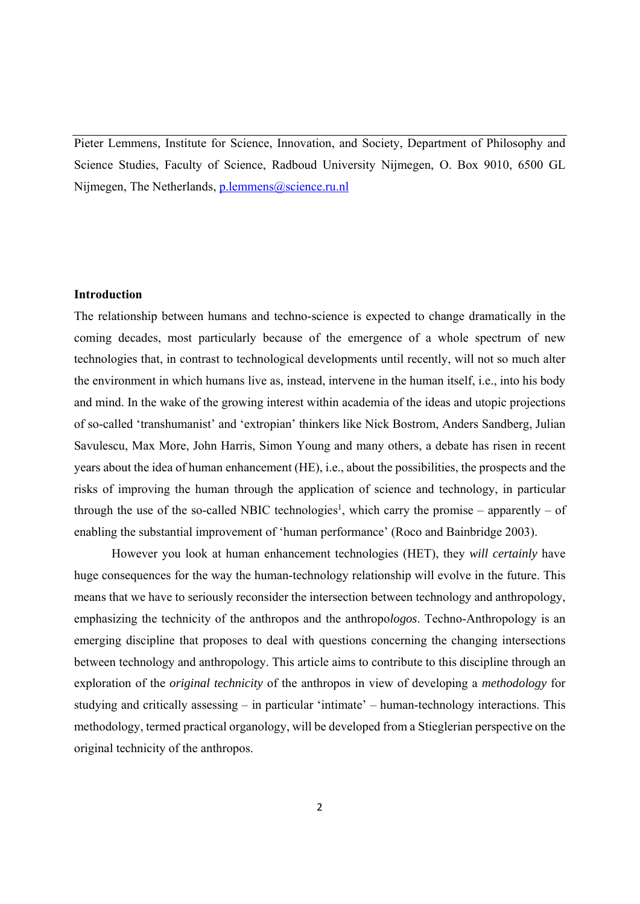Pieter Lemmens, Institute for Science, Innovation, and Society, Department of Philosophy and Science Studies, Faculty of Science, Radboud University Nijmegen, O. Box 9010, 6500 GL Nijmegen, The Netherlands, p.lemmens@science.ru.nl

#### **Introduction**

The relationship between humans and techno-science is expected to change dramatically in the coming decades, most particularly because of the emergence of a whole spectrum of new technologies that, in contrast to technological developments until recently, will not so much alter the environment in which humans live as, instead, intervene in the human itself, i.e., into his body and mind. In the wake of the growing interest within academia of the ideas and utopic projections of so-called 'transhumanist' and 'extropian' thinkers like Nick Bostrom, Anders Sandberg, Julian Savulescu, Max More, John Harris, Simon Young and many others, a debate has risen in recent years about the idea of human enhancement (HE), i.e., about the possibilities, the prospects and the risks of improving the human through the application of science and technology, in particular through the use of the so-called NBIC technologies<sup>1</sup>, which carry the promise – apparently – of enabling the substantial improvement of 'human performance' (Roco and Bainbridge 2003).

 However you look at human enhancement technologies (HET), they *will certainly* have huge consequences for the way the human-technology relationship will evolve in the future. This means that we have to seriously reconsider the intersection between technology and anthropology, emphasizing the technicity of the anthropos and the anthropologos. Techno-Anthropology is an emerging discipline that proposes to deal with questions concerning the changing intersections between technology and anthropology. This article aims to contribute to this discipline through an exploration of the *original technicity* of the anthropos in view of developing a *methodology* for studying and critically assessing – in particular 'intimate' – human-technology interactions. This methodology, termed practical organology, will be developed from a Stieglerian perspective on the original technicity of the anthropos.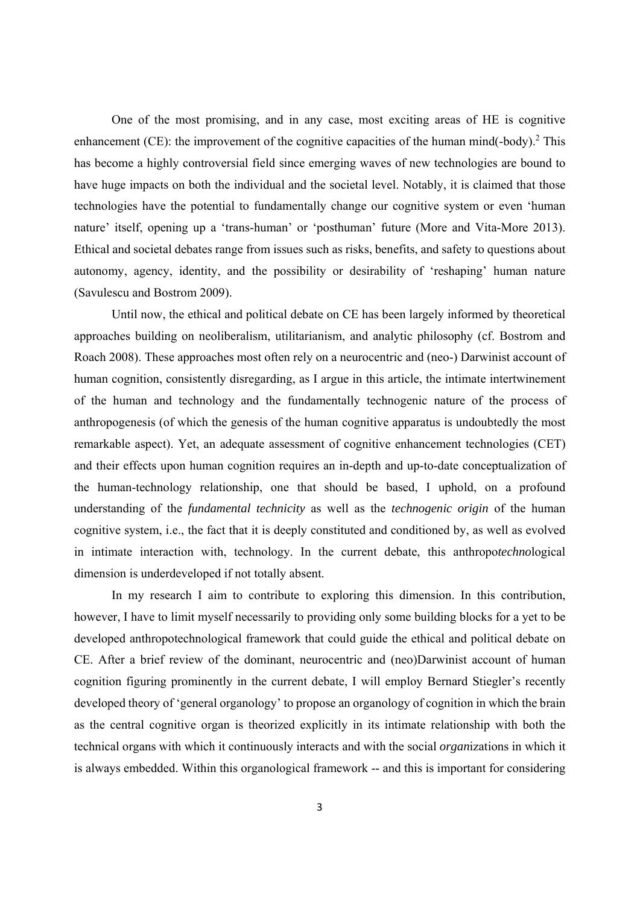One of the most promising, and in any case, most exciting areas of HE is cognitive enhancement (CE): the improvement of the cognitive capacities of the human mind(-body).<sup>2</sup> This has become a highly controversial field since emerging waves of new technologies are bound to have huge impacts on both the individual and the societal level. Notably, it is claimed that those technologies have the potential to fundamentally change our cognitive system or even 'human nature' itself, opening up a 'trans-human' or 'posthuman' future (More and Vita-More 2013). Ethical and societal debates range from issues such as risks, benefits, and safety to questions about autonomy, agency, identity, and the possibility or desirability of 'reshaping' human nature (Savulescu and Bostrom 2009).

 Until now, the ethical and political debate on CE has been largely informed by theoretical approaches building on neoliberalism, utilitarianism, and analytic philosophy (cf. Bostrom and Roach 2008). These approaches most often rely on a neurocentric and (neo-) Darwinist account of human cognition, consistently disregarding, as I argue in this article, the intimate intertwinement of the human and technology and the fundamentally technogenic nature of the process of anthropogenesis (of which the genesis of the human cognitive apparatus is undoubtedly the most remarkable aspect). Yet, an adequate assessment of cognitive enhancement technologies (CET) and their effects upon human cognition requires an in-depth and up-to-date conceptualization of the human-technology relationship, one that should be based, I uphold, on a profound understanding of the *fundamental technicity* as well as the *technogenic origin* of the human cognitive system, i.e., the fact that it is deeply constituted and conditioned by, as well as evolved in intimate interaction with, technology. In the current debate, this anthropo*techno*logical dimension is underdeveloped if not totally absent.

 In my research I aim to contribute to exploring this dimension. In this contribution, however, I have to limit myself necessarily to providing only some building blocks for a yet to be developed anthropotechnological framework that could guide the ethical and political debate on CE. After a brief review of the dominant, neurocentric and (neo)Darwinist account of human cognition figuring prominently in the current debate, I will employ Bernard Stiegler's recently developed theory of 'general organology' to propose an organology of cognition in which the brain as the central cognitive organ is theorized explicitly in its intimate relationship with both the technical organs with which it continuously interacts and with the social *organ*izations in which it is always embedded. Within this organological framework -- and this is important for considering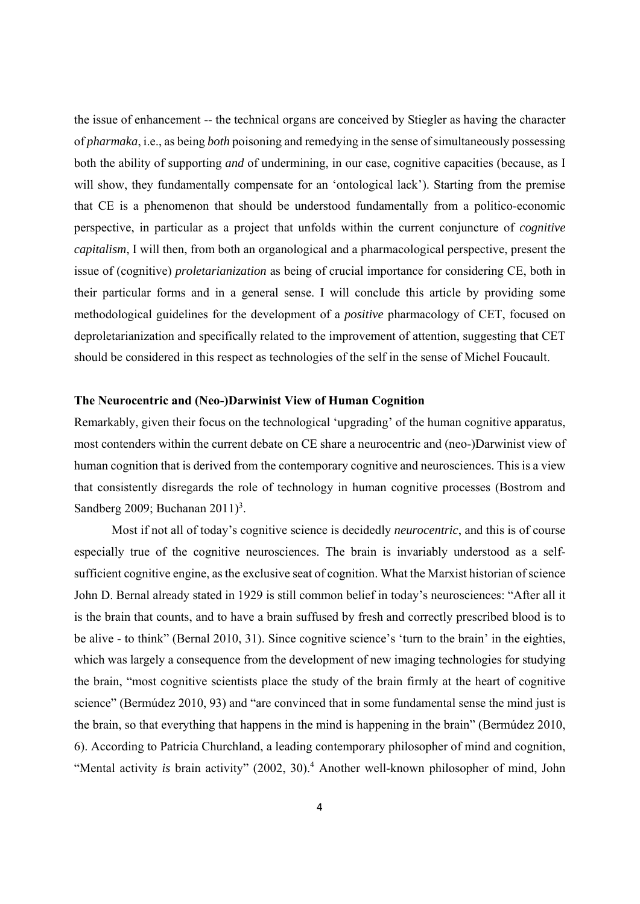the issue of enhancement -- the technical organs are conceived by Stiegler as having the character of *pharmaka*, i.e., as being *both* poisoning and remedying in the sense of simultaneously possessing both the ability of supporting *and* of undermining, in our case, cognitive capacities (because, as I will show, they fundamentally compensate for an 'ontological lack'). Starting from the premise that CE is a phenomenon that should be understood fundamentally from a politico-economic perspective, in particular as a project that unfolds within the current conjuncture of *cognitive capitalism*, I will then, from both an organological and a pharmacological perspective, present the issue of (cognitive) *proletarianization* as being of crucial importance for considering CE, both in their particular forms and in a general sense. I will conclude this article by providing some methodological guidelines for the development of a *positive* pharmacology of CET, focused on deproletarianization and specifically related to the improvement of attention, suggesting that CET should be considered in this respect as technologies of the self in the sense of Michel Foucault.

#### **The Neurocentric and (Neo-)Darwinist View of Human Cognition**

Remarkably, given their focus on the technological 'upgrading' of the human cognitive apparatus, most contenders within the current debate on CE share a neurocentric and (neo-)Darwinist view of human cognition that is derived from the contemporary cognitive and neurosciences. This is a view that consistently disregards the role of technology in human cognitive processes (Bostrom and Sandberg 2009; Buchanan  $2011$ <sup>3</sup>.

 Most if not all of today's cognitive science is decidedly *neurocentric*, and this is of course especially true of the cognitive neurosciences. The brain is invariably understood as a selfsufficient cognitive engine, as the exclusive seat of cognition. What the Marxist historian of science John D. Bernal already stated in 1929 is still common belief in today's neurosciences: "After all it is the brain that counts, and to have a brain suffused by fresh and correctly prescribed blood is to be alive - to think" (Bernal 2010, 31). Since cognitive science's 'turn to the brain' in the eighties, which was largely a consequence from the development of new imaging technologies for studying the brain, "most cognitive scientists place the study of the brain firmly at the heart of cognitive science" (Bermúdez 2010, 93) and "are convinced that in some fundamental sense the mind just is the brain, so that everything that happens in the mind is happening in the brain" (Bermúdez 2010, 6). According to Patricia Churchland, a leading contemporary philosopher of mind and cognition, "Mental activity *is* brain activity" (2002, 30).<sup>4</sup> Another well-known philosopher of mind, John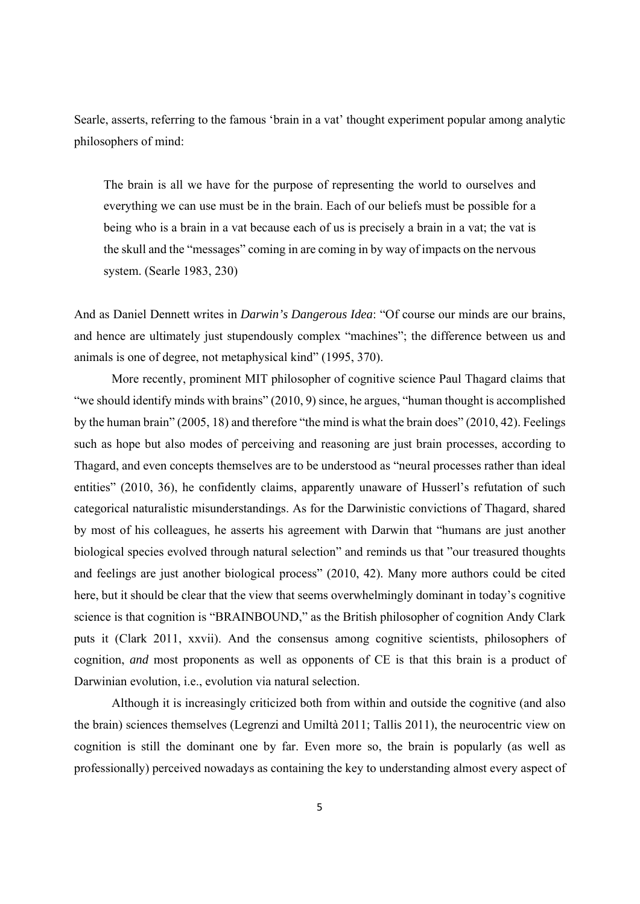Searle, asserts, referring to the famous 'brain in a vat' thought experiment popular among analytic philosophers of mind:

The brain is all we have for the purpose of representing the world to ourselves and everything we can use must be in the brain. Each of our beliefs must be possible for a being who is a brain in a vat because each of us is precisely a brain in a vat; the vat is the skull and the "messages" coming in are coming in by way of impacts on the nervous system. (Searle 1983, 230)

And as Daniel Dennett writes in *Darwin's Dangerous Idea*: "Of course our minds are our brains, and hence are ultimately just stupendously complex "machines"; the difference between us and animals is one of degree, not metaphysical kind" (1995, 370).

 More recently, prominent MIT philosopher of cognitive science Paul Thagard claims that "we should identify minds with brains" (2010, 9) since, he argues, "human thought is accomplished by the human brain" (2005, 18) and therefore "the mind is what the brain does" (2010, 42). Feelings such as hope but also modes of perceiving and reasoning are just brain processes, according to Thagard, and even concepts themselves are to be understood as "neural processes rather than ideal entities" (2010, 36), he confidently claims, apparently unaware of Husserl's refutation of such categorical naturalistic misunderstandings. As for the Darwinistic convictions of Thagard, shared by most of his colleagues, he asserts his agreement with Darwin that "humans are just another biological species evolved through natural selection" and reminds us that "our treasured thoughts and feelings are just another biological process" (2010, 42). Many more authors could be cited here, but it should be clear that the view that seems overwhelmingly dominant in today's cognitive science is that cognition is "BRAINBOUND," as the British philosopher of cognition Andy Clark puts it (Clark 2011, xxvii). And the consensus among cognitive scientists, philosophers of cognition, *and* most proponents as well as opponents of CE is that this brain is a product of Darwinian evolution, i.e., evolution via natural selection.

 Although it is increasingly criticized both from within and outside the cognitive (and also the brain) sciences themselves (Legrenzi and Umiltà 2011; Tallis 2011), the neurocentric view on cognition is still the dominant one by far. Even more so, the brain is popularly (as well as professionally) perceived nowadays as containing the key to understanding almost every aspect of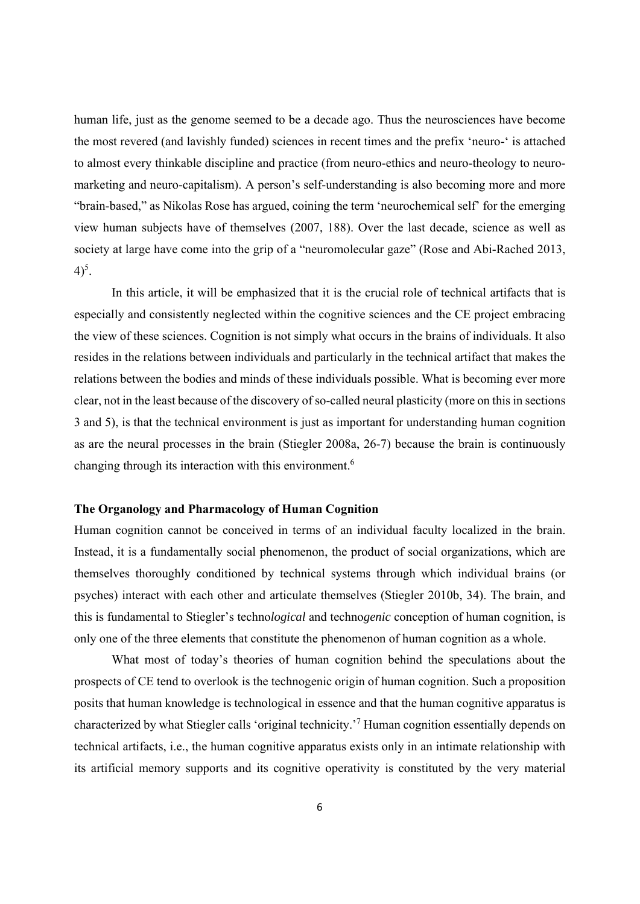human life, just as the genome seemed to be a decade ago. Thus the neurosciences have become the most revered (and lavishly funded) sciences in recent times and the prefix 'neuro-' is attached to almost every thinkable discipline and practice (from neuro-ethics and neuro-theology to neuromarketing and neuro-capitalism). A person's self-understanding is also becoming more and more "brain-based," as Nikolas Rose has argued, coining the term 'neurochemical self' for the emerging view human subjects have of themselves (2007, 188). Over the last decade, science as well as society at large have come into the grip of a "neuromolecular gaze" (Rose and Abi-Rached 2013,  $4)^5$ .

 In this article, it will be emphasized that it is the crucial role of technical artifacts that is especially and consistently neglected within the cognitive sciences and the CE project embracing the view of these sciences. Cognition is not simply what occurs in the brains of individuals. It also resides in the relations between individuals and particularly in the technical artifact that makes the relations between the bodies and minds of these individuals possible. What is becoming ever more clear, not in the least because of the discovery of so-called neural plasticity (more on this in sections 3 and 5), is that the technical environment is just as important for understanding human cognition as are the neural processes in the brain (Stiegler 2008a, 26-7) because the brain is continuously changing through its interaction with this environment.<sup>6</sup>

#### **The Organology and Pharmacology of Human Cognition**

Human cognition cannot be conceived in terms of an individual faculty localized in the brain. Instead, it is a fundamentally social phenomenon, the product of social organizations, which are themselves thoroughly conditioned by technical systems through which individual brains (or psyches) interact with each other and articulate themselves (Stiegler 2010b, 34). The brain, and this is fundamental to Stiegler's techno*logical* and techno*genic* conception of human cognition, is only one of the three elements that constitute the phenomenon of human cognition as a whole.

 What most of today's theories of human cognition behind the speculations about the prospects of CE tend to overlook is the technogenic origin of human cognition. Such a proposition posits that human knowledge is technological in essence and that the human cognitive apparatus is characterized by what Stiegler calls 'original technicity.'<sup>7</sup> Human cognition essentially depends on technical artifacts, i.e., the human cognitive apparatus exists only in an intimate relationship with its artificial memory supports and its cognitive operativity is constituted by the very material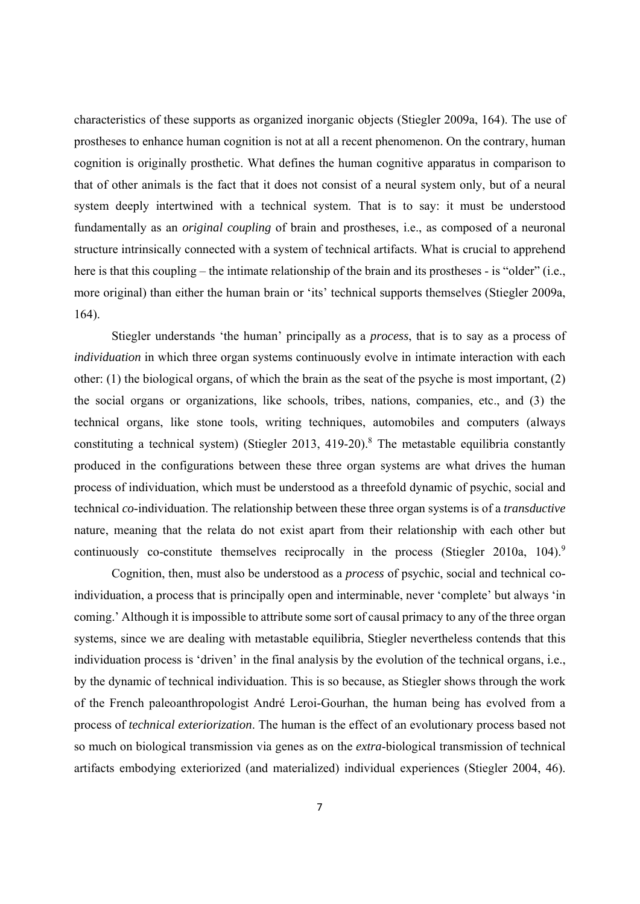characteristics of these supports as organized inorganic objects (Stiegler 2009a, 164). The use of prostheses to enhance human cognition is not at all a recent phenomenon. On the contrary, human cognition is originally prosthetic. What defines the human cognitive apparatus in comparison to that of other animals is the fact that it does not consist of a neural system only, but of a neural system deeply intertwined with a technical system. That is to say: it must be understood fundamentally as an *original coupling* of brain and prostheses, i.e., as composed of a neuronal structure intrinsically connected with a system of technical artifacts. What is crucial to apprehend here is that this coupling – the intimate relationship of the brain and its prostheses - is "older" (i.e., more original) than either the human brain or 'its' technical supports themselves (Stiegler 2009a, 164).

 Stiegler understands 'the human' principally as a *process*, that is to say as a process of *individuation* in which three organ systems continuously evolve in intimate interaction with each other: (1) the biological organs, of which the brain as the seat of the psyche is most important, (2) the social organs or organizations, like schools, tribes, nations, companies, etc., and (3) the technical organs, like stone tools, writing techniques, automobiles and computers (always constituting a technical system) (Stiegler 2013, 419-20).<sup>8</sup> The metastable equilibria constantly produced in the configurations between these three organ systems are what drives the human process of individuation, which must be understood as a threefold dynamic of psychic, social and technical *co*-individuation. The relationship between these three organ systems is of a *transductive* nature, meaning that the relata do not exist apart from their relationship with each other but continuously co-constitute themselves reciprocally in the process (Stiegler 2010a, 104).<sup>9</sup>

 Cognition, then, must also be understood as a *process* of psychic, social and technical coindividuation, a process that is principally open and interminable, never 'complete' but always 'in coming.' Although it is impossible to attribute some sort of causal primacy to any of the three organ systems, since we are dealing with metastable equilibria, Stiegler nevertheless contends that this individuation process is 'driven' in the final analysis by the evolution of the technical organs, i.e., by the dynamic of technical individuation. This is so because, as Stiegler shows through the work of the French paleoanthropologist André Leroi-Gourhan, the human being has evolved from a process of *technical exteriorization*. The human is the effect of an evolutionary process based not so much on biological transmission via genes as on the *extra*-biological transmission of technical artifacts embodying exteriorized (and materialized) individual experiences (Stiegler 2004, 46).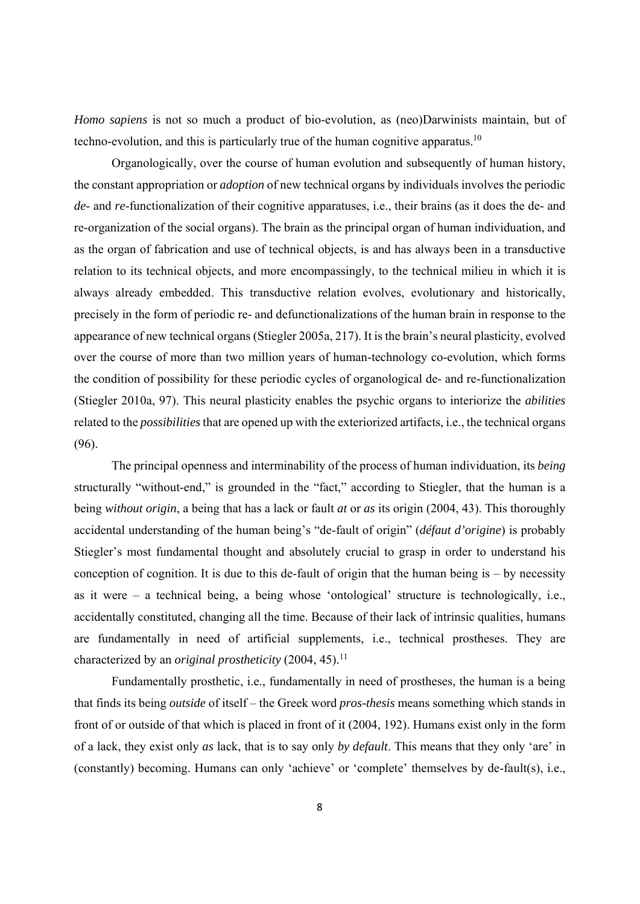*Homo sapiens* is not so much a product of bio-evolution, as (neo)Darwinists maintain, but of techno-evolution, and this is particularly true of the human cognitive apparatus.10

 Organologically, over the course of human evolution and subsequently of human history, the constant appropriation or *adoption* of new technical organs by individuals involves the periodic *de*- and *re*-functionalization of their cognitive apparatuses, i.e., their brains (as it does the de- and re-organization of the social organs). The brain as the principal organ of human individuation, and as the organ of fabrication and use of technical objects, is and has always been in a transductive relation to its technical objects, and more encompassingly, to the technical milieu in which it is always already embedded. This transductive relation evolves, evolutionary and historically, precisely in the form of periodic re- and defunctionalizations of the human brain in response to the appearance of new technical organs (Stiegler 2005a, 217). It is the brain's neural plasticity, evolved over the course of more than two million years of human-technology co-evolution, which forms the condition of possibility for these periodic cycles of organological de- and re-functionalization (Stiegler 2010a, 97). This neural plasticity enables the psychic organs to interiorize the *abilities* related to the *possibilities* that are opened up with the exteriorized artifacts, i.e., the technical organs (96).

 The principal openness and interminability of the process of human individuation, its *being* structurally "without-end," is grounded in the "fact," according to Stiegler, that the human is a being *without origin*, a being that has a lack or fault *at* or *as* its origin (2004, 43). This thoroughly accidental understanding of the human being's "de-fault of origin" (*défaut d'origine*) is probably Stiegler's most fundamental thought and absolutely crucial to grasp in order to understand his conception of cognition. It is due to this de-fault of origin that the human being is  $-$  by necessity as it were – a technical being, a being whose 'ontological' structure is technologically, i.e., accidentally constituted, changing all the time. Because of their lack of intrinsic qualities, humans are fundamentally in need of artificial supplements, i.e., technical prostheses. They are characterized by an *original prostheticity* (2004, 45).<sup>11</sup>

 Fundamentally prosthetic, i.e., fundamentally in need of prostheses, the human is a being that finds its being *outside* of itself – the Greek word *pros-thesis* means something which stands in front of or outside of that which is placed in front of it (2004, 192). Humans exist only in the form of a lack, they exist only *as* lack, that is to say only *by default*. This means that they only 'are' in (constantly) becoming. Humans can only 'achieve' or 'complete' themselves by de-fault(s), i.e.,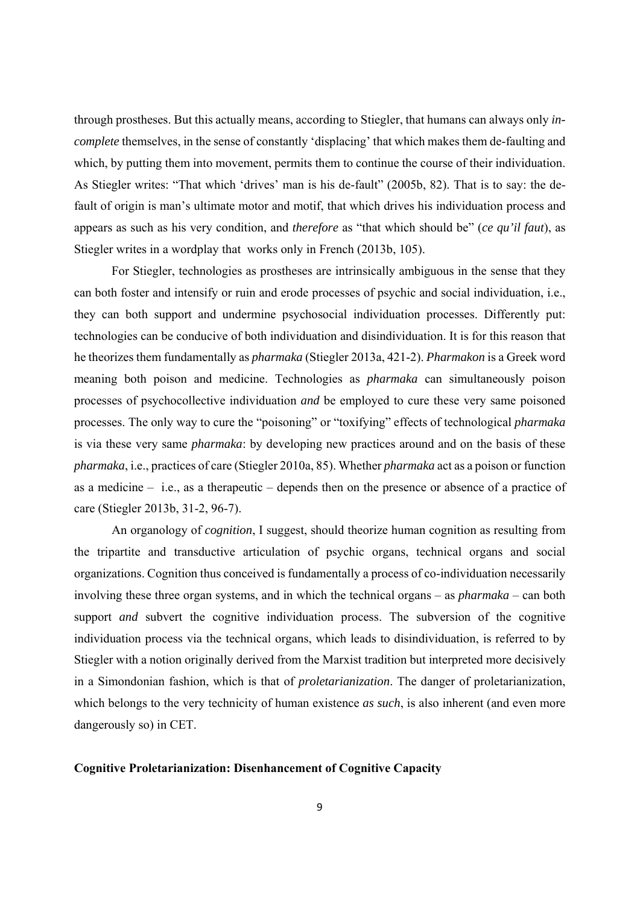through prostheses. But this actually means, according to Stiegler, that humans can always only *incomplete* themselves, in the sense of constantly 'displacing' that which makes them de-faulting and which, by putting them into movement, permits them to continue the course of their individuation. As Stiegler writes: "That which 'drives' man is his de-fault" (2005b, 82). That is to say: the default of origin is man's ultimate motor and motif, that which drives his individuation process and appears as such as his very condition, and *therefore* as "that which should be" (*ce qu'il faut*), as Stiegler writes in a wordplay that works only in French (2013b, 105).

 For Stiegler, technologies as prostheses are intrinsically ambiguous in the sense that they can both foster and intensify or ruin and erode processes of psychic and social individuation, i.e., they can both support and undermine psychosocial individuation processes. Differently put: technologies can be conducive of both individuation and disindividuation. It is for this reason that he theorizes them fundamentally as *pharmaka* (Stiegler 2013a, 421-2). *Pharmakon* is a Greek word meaning both poison and medicine. Technologies as *pharmaka* can simultaneously poison processes of psychocollective individuation *and* be employed to cure these very same poisoned processes. The only way to cure the "poisoning" or "toxifying" effects of technological *pharmaka* is via these very same *pharmaka*: by developing new practices around and on the basis of these *pharmaka*, i.e., practices of care (Stiegler 2010a, 85). Whether *pharmaka* act as a poison or function as a medicine – i.e., as a therapeutic – depends then on the presence or absence of a practice of care (Stiegler 2013b, 31-2, 96-7).

 An organology of *cognition*, I suggest, should theorize human cognition as resulting from the tripartite and transductive articulation of psychic organs, technical organs and social organizations. Cognition thus conceived is fundamentally a process of co-individuation necessarily involving these three organ systems, and in which the technical organs – as *pharmaka* – can both support *and* subvert the cognitive individuation process. The subversion of the cognitive individuation process via the technical organs, which leads to disindividuation, is referred to by Stiegler with a notion originally derived from the Marxist tradition but interpreted more decisively in a Simondonian fashion, which is that of *proletarianization*. The danger of proletarianization, which belongs to the very technicity of human existence *as such*, is also inherent (and even more dangerously so) in CET.

#### **Cognitive Proletarianization: Disenhancement of Cognitive Capacity**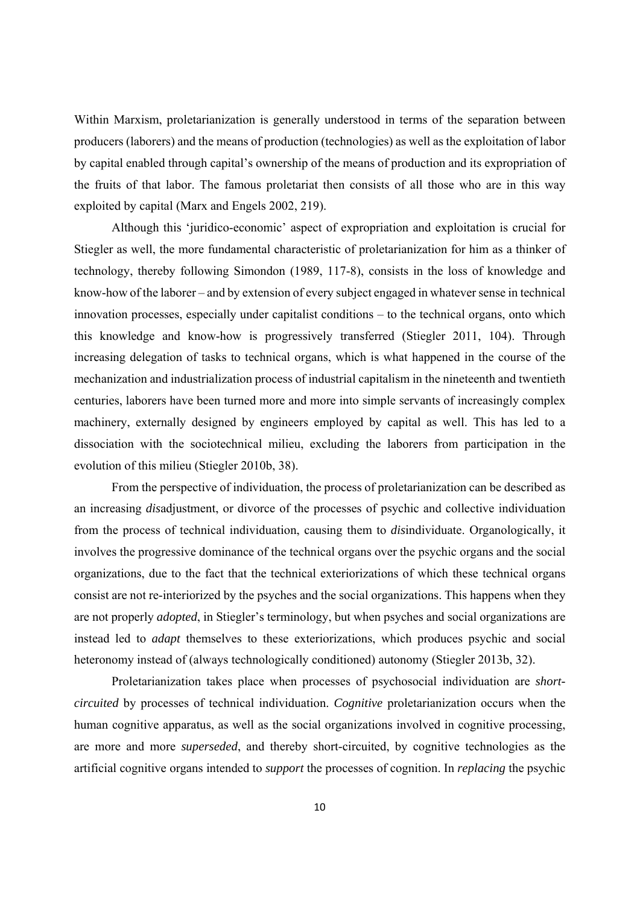Within Marxism, proletarianization is generally understood in terms of the separation between producers (laborers) and the means of production (technologies) as well as the exploitation of labor by capital enabled through capital's ownership of the means of production and its expropriation of the fruits of that labor. The famous proletariat then consists of all those who are in this way exploited by capital (Marx and Engels 2002, 219).

 Although this 'juridico-economic' aspect of expropriation and exploitation is crucial for Stiegler as well, the more fundamental characteristic of proletarianization for him as a thinker of technology, thereby following Simondon (1989, 117-8), consists in the loss of knowledge and know-how of the laborer – and by extension of every subject engaged in whatever sense in technical innovation processes, especially under capitalist conditions – to the technical organs, onto which this knowledge and know-how is progressively transferred (Stiegler 2011, 104). Through increasing delegation of tasks to technical organs, which is what happened in the course of the mechanization and industrialization process of industrial capitalism in the nineteenth and twentieth centuries, laborers have been turned more and more into simple servants of increasingly complex machinery, externally designed by engineers employed by capital as well. This has led to a dissociation with the sociotechnical milieu, excluding the laborers from participation in the evolution of this milieu (Stiegler 2010b, 38).

 From the perspective of individuation, the process of proletarianization can be described as an increasing *dis*adjustment, or divorce of the processes of psychic and collective individuation from the process of technical individuation, causing them to *dis*individuate. Organologically, it involves the progressive dominance of the technical organs over the psychic organs and the social organizations, due to the fact that the technical exteriorizations of which these technical organs consist are not re-interiorized by the psyches and the social organizations. This happens when they are not properly *adopted*, in Stiegler's terminology, but when psyches and social organizations are instead led to *adapt* themselves to these exteriorizations, which produces psychic and social heteronomy instead of (always technologically conditioned) autonomy (Stiegler 2013b, 32).

 Proletarianization takes place when processes of psychosocial individuation are *shortcircuited* by processes of technical individuation. *Cognitive* proletarianization occurs when the human cognitive apparatus, as well as the social organizations involved in cognitive processing, are more and more *superseded*, and thereby short-circuited, by cognitive technologies as the artificial cognitive organs intended to *support* the processes of cognition. In *replacing* the psychic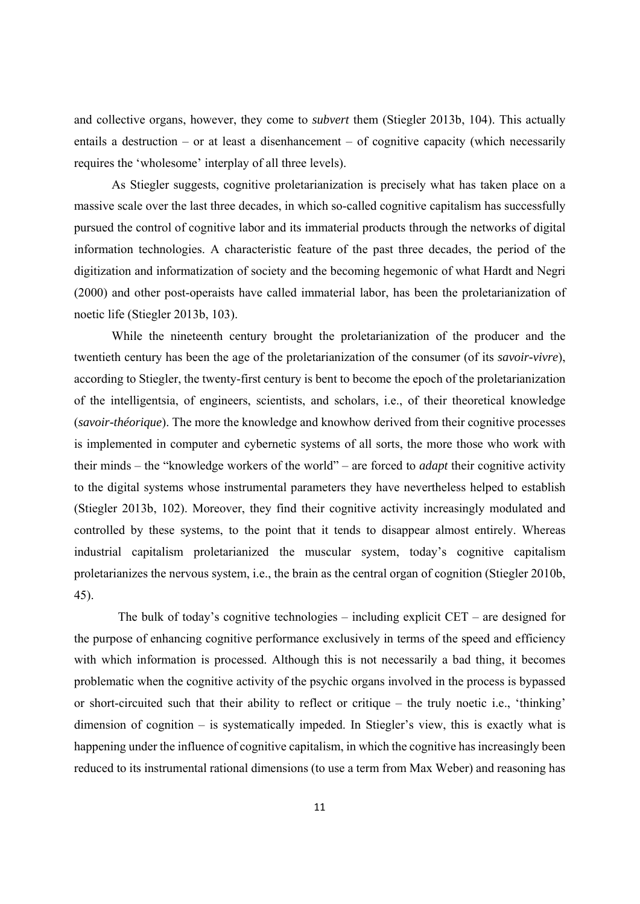and collective organs, however, they come to *subvert* them (Stiegler 2013b, 104). This actually entails a destruction – or at least a disenhancement – of cognitive capacity (which necessarily requires the 'wholesome' interplay of all three levels).

 As Stiegler suggests, cognitive proletarianization is precisely what has taken place on a massive scale over the last three decades, in which so-called cognitive capitalism has successfully pursued the control of cognitive labor and its immaterial products through the networks of digital information technologies. A characteristic feature of the past three decades, the period of the digitization and informatization of society and the becoming hegemonic of what Hardt and Negri (2000) and other post-operaists have called immaterial labor, has been the proletarianization of noetic life (Stiegler 2013b, 103).

 While the nineteenth century brought the proletarianization of the producer and the twentieth century has been the age of the proletarianization of the consumer (of its *savoir-vivre*), according to Stiegler, the twenty-first century is bent to become the epoch of the proletarianization of the intelligentsia, of engineers, scientists, and scholars, i.e., of their theoretical knowledge (*savoir-théorique*). The more the knowledge and knowhow derived from their cognitive processes is implemented in computer and cybernetic systems of all sorts, the more those who work with their minds – the "knowledge workers of the world" – are forced to *adapt* their cognitive activity to the digital systems whose instrumental parameters they have nevertheless helped to establish (Stiegler 2013b, 102). Moreover, they find their cognitive activity increasingly modulated and controlled by these systems, to the point that it tends to disappear almost entirely. Whereas industrial capitalism proletarianized the muscular system, today's cognitive capitalism proletarianizes the nervous system, i.e., the brain as the central organ of cognition (Stiegler 2010b, 45).

 The bulk of today's cognitive technologies – including explicit CET – are designed for the purpose of enhancing cognitive performance exclusively in terms of the speed and efficiency with which information is processed. Although this is not necessarily a bad thing, it becomes problematic when the cognitive activity of the psychic organs involved in the process is bypassed or short-circuited such that their ability to reflect or critique – the truly noetic i.e., 'thinking' dimension of cognition – is systematically impeded. In Stiegler's view, this is exactly what is happening under the influence of cognitive capitalism, in which the cognitive has increasingly been reduced to its instrumental rational dimensions (to use a term from Max Weber) and reasoning has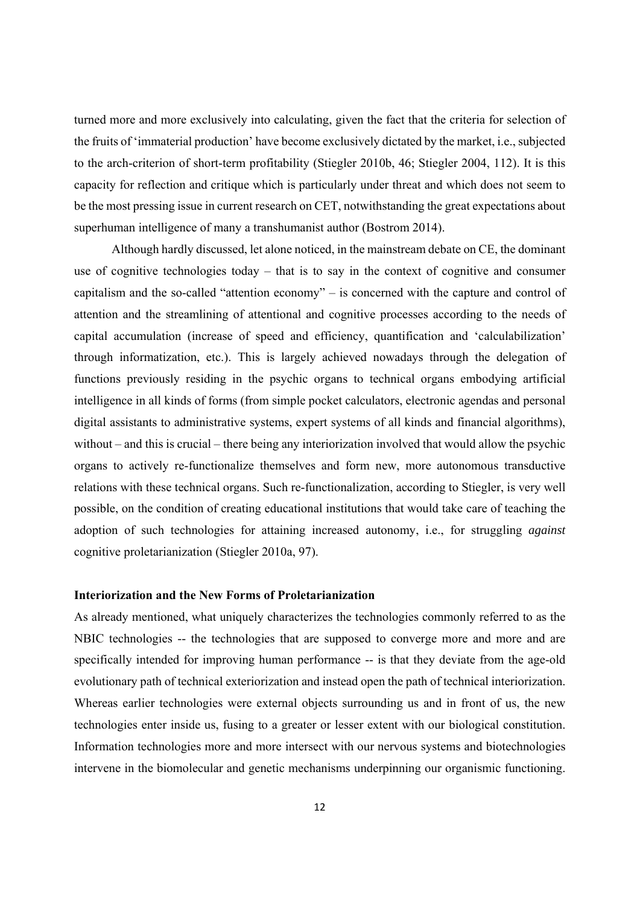turned more and more exclusively into calculating, given the fact that the criteria for selection of the fruits of 'immaterial production' have become exclusively dictated by the market, i.e., subjected to the arch-criterion of short-term profitability (Stiegler 2010b, 46; Stiegler 2004, 112). It is this capacity for reflection and critique which is particularly under threat and which does not seem to be the most pressing issue in current research on CET, notwithstanding the great expectations about superhuman intelligence of many a transhumanist author (Bostrom 2014).

 Although hardly discussed, let alone noticed, in the mainstream debate on CE, the dominant use of cognitive technologies today – that is to say in the context of cognitive and consumer capitalism and the so-called "attention economy" – is concerned with the capture and control of attention and the streamlining of attentional and cognitive processes according to the needs of capital accumulation (increase of speed and efficiency, quantification and 'calculabilization' through informatization, etc.). This is largely achieved nowadays through the delegation of functions previously residing in the psychic organs to technical organs embodying artificial intelligence in all kinds of forms (from simple pocket calculators, electronic agendas and personal digital assistants to administrative systems, expert systems of all kinds and financial algorithms), without – and this is crucial – there being any interiorization involved that would allow the psychic organs to actively re-functionalize themselves and form new, more autonomous transductive relations with these technical organs. Such re-functionalization, according to Stiegler, is very well possible, on the condition of creating educational institutions that would take care of teaching the adoption of such technologies for attaining increased autonomy, i.e., for struggling *against* cognitive proletarianization (Stiegler 2010a, 97).

## **Interiorization and the New Forms of Proletarianization**

As already mentioned, what uniquely characterizes the technologies commonly referred to as the NBIC technologies -- the technologies that are supposed to converge more and more and are specifically intended for improving human performance -- is that they deviate from the age-old evolutionary path of technical exteriorization and instead open the path of technical interiorization. Whereas earlier technologies were external objects surrounding us and in front of us, the new technologies enter inside us, fusing to a greater or lesser extent with our biological constitution. Information technologies more and more intersect with our nervous systems and biotechnologies intervene in the biomolecular and genetic mechanisms underpinning our organismic functioning.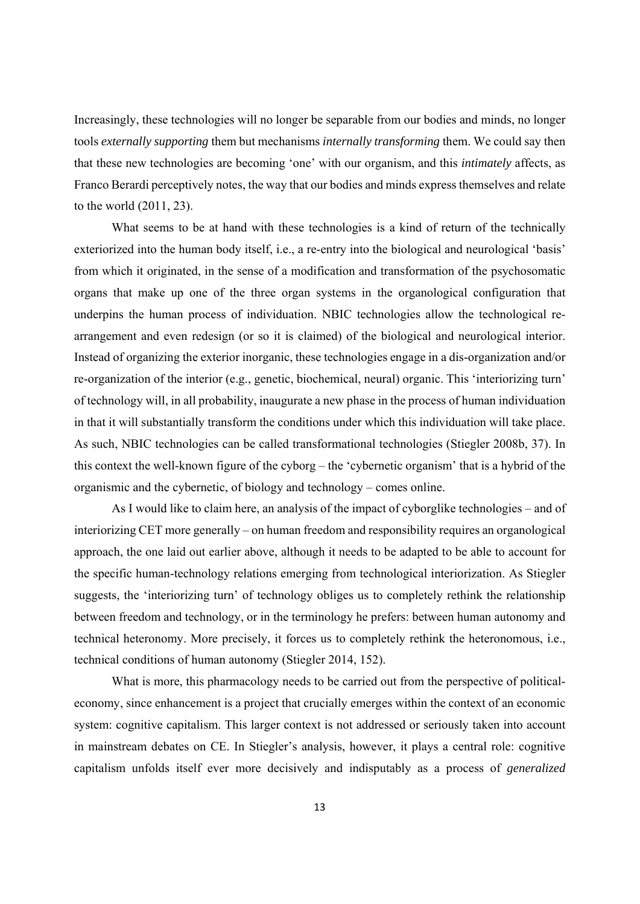Increasingly, these technologies will no longer be separable from our bodies and minds, no longer tools *externally supporting* them but mechanisms *internally transforming* them. We could say then that these new technologies are becoming 'one' with our organism, and this *intimately* affects, as Franco Berardi perceptively notes, the way that our bodies and minds express themselves and relate to the world (2011, 23).

 What seems to be at hand with these technologies is a kind of return of the technically exteriorized into the human body itself, i.e., a re-entry into the biological and neurological 'basis' from which it originated, in the sense of a modification and transformation of the psychosomatic organs that make up one of the three organ systems in the organological configuration that underpins the human process of individuation. NBIC technologies allow the technological rearrangement and even redesign (or so it is claimed) of the biological and neurological interior. Instead of organizing the exterior inorganic, these technologies engage in a dis-organization and/or re-organization of the interior (e.g., genetic, biochemical, neural) organic. This 'interiorizing turn' of technology will, in all probability, inaugurate a new phase in the process of human individuation in that it will substantially transform the conditions under which this individuation will take place. As such, NBIC technologies can be called transformational technologies (Stiegler 2008b, 37). In this context the well-known figure of the cyborg – the 'cybernetic organism' that is a hybrid of the organismic and the cybernetic, of biology and technology – comes online.

 As I would like to claim here, an analysis of the impact of cyborglike technologies – and of interiorizing CET more generally – on human freedom and responsibility requires an organological approach, the one laid out earlier above, although it needs to be adapted to be able to account for the specific human-technology relations emerging from technological interiorization. As Stiegler suggests, the 'interiorizing turn' of technology obliges us to completely rethink the relationship between freedom and technology, or in the terminology he prefers: between human autonomy and technical heteronomy. More precisely, it forces us to completely rethink the heteronomous, i.e., technical conditions of human autonomy (Stiegler 2014, 152).

What is more, this pharmacology needs to be carried out from the perspective of politicaleconomy, since enhancement is a project that crucially emerges within the context of an economic system: cognitive capitalism. This larger context is not addressed or seriously taken into account in mainstream debates on CE. In Stiegler's analysis, however, it plays a central role: cognitive capitalism unfolds itself ever more decisively and indisputably as a process of *generalized*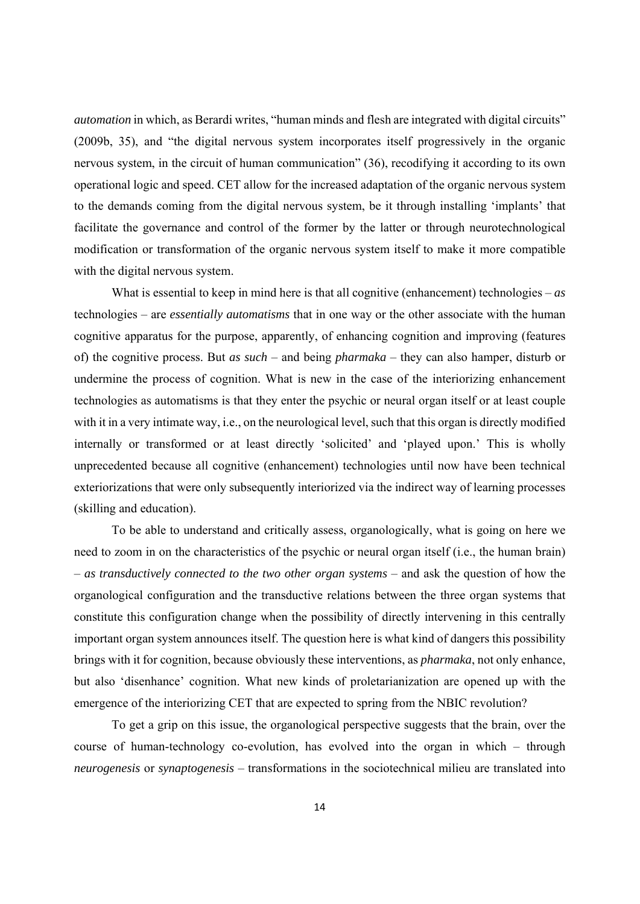*automation* in which, as Berardi writes, "human minds and flesh are integrated with digital circuits" (2009b, 35), and "the digital nervous system incorporates itself progressively in the organic nervous system, in the circuit of human communication" (36), recodifying it according to its own operational logic and speed. CET allow for the increased adaptation of the organic nervous system to the demands coming from the digital nervous system, be it through installing 'implants' that facilitate the governance and control of the former by the latter or through neurotechnological modification or transformation of the organic nervous system itself to make it more compatible with the digital nervous system.

 What is essential to keep in mind here is that all cognitive (enhancement) technologies – *as* technologies – are *essentially automatisms* that in one way or the other associate with the human cognitive apparatus for the purpose, apparently, of enhancing cognition and improving (features of) the cognitive process. But *as such* – and being *pharmaka* – they can also hamper, disturb or undermine the process of cognition. What is new in the case of the interiorizing enhancement technologies as automatisms is that they enter the psychic or neural organ itself or at least couple with it in a very intimate way, i.e., on the neurological level, such that this organ is directly modified internally or transformed or at least directly 'solicited' and 'played upon.' This is wholly unprecedented because all cognitive (enhancement) technologies until now have been technical exteriorizations that were only subsequently interiorized via the indirect way of learning processes (skilling and education).

 To be able to understand and critically assess, organologically, what is going on here we need to zoom in on the characteristics of the psychic or neural organ itself (i.e., the human brain) – *as transductively connected to the two other organ systems* – and ask the question of how the organological configuration and the transductive relations between the three organ systems that constitute this configuration change when the possibility of directly intervening in this centrally important organ system announces itself. The question here is what kind of dangers this possibility brings with it for cognition, because obviously these interventions, as *pharmaka*, not only enhance, but also 'disenhance' cognition. What new kinds of proletarianization are opened up with the emergence of the interiorizing CET that are expected to spring from the NBIC revolution?

 To get a grip on this issue, the organological perspective suggests that the brain, over the course of human-technology co-evolution, has evolved into the organ in which – through *neurogenesis* or *synaptogenesis* – transformations in the sociotechnical milieu are translated into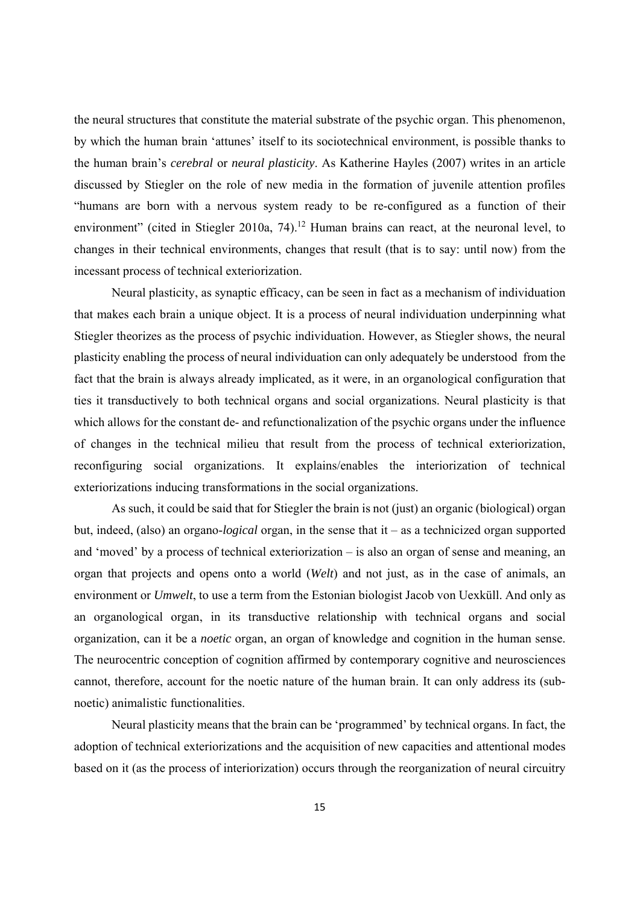the neural structures that constitute the material substrate of the psychic organ. This phenomenon, by which the human brain 'attunes' itself to its sociotechnical environment, is possible thanks to the human brain's *cerebral* or *neural plasticity*. As Katherine Hayles (2007) writes in an article discussed by Stiegler on the role of new media in the formation of juvenile attention profiles "humans are born with a nervous system ready to be re-configured as a function of their environment" (cited in Stiegler 2010a, 74).<sup>12</sup> Human brains can react, at the neuronal level, to changes in their technical environments, changes that result (that is to say: until now) from the incessant process of technical exteriorization.

 Neural plasticity, as synaptic efficacy, can be seen in fact as a mechanism of individuation that makes each brain a unique object. It is a process of neural individuation underpinning what Stiegler theorizes as the process of psychic individuation. However, as Stiegler shows, the neural plasticity enabling the process of neural individuation can only adequately be understood from the fact that the brain is always already implicated, as it were, in an organological configuration that ties it transductively to both technical organs and social organizations. Neural plasticity is that which allows for the constant de- and refunctionalization of the psychic organs under the influence of changes in the technical milieu that result from the process of technical exteriorization, reconfiguring social organizations. It explains/enables the interiorization of technical exteriorizations inducing transformations in the social organizations.

 As such, it could be said that for Stiegler the brain is not (just) an organic (biological) organ but, indeed, (also) an organo-*logical* organ, in the sense that it – as a technicized organ supported and 'moved' by a process of technical exteriorization – is also an organ of sense and meaning, an organ that projects and opens onto a world (*Welt*) and not just, as in the case of animals, an environment or *Umwelt*, to use a term from the Estonian biologist Jacob von Uexküll. And only as an organological organ, in its transductive relationship with technical organs and social organization, can it be a *noetic* organ, an organ of knowledge and cognition in the human sense. The neurocentric conception of cognition affirmed by contemporary cognitive and neurosciences cannot, therefore, account for the noetic nature of the human brain. It can only address its (subnoetic) animalistic functionalities.

 Neural plasticity means that the brain can be 'programmed' by technical organs. In fact, the adoption of technical exteriorizations and the acquisition of new capacities and attentional modes based on it (as the process of interiorization) occurs through the reorganization of neural circuitry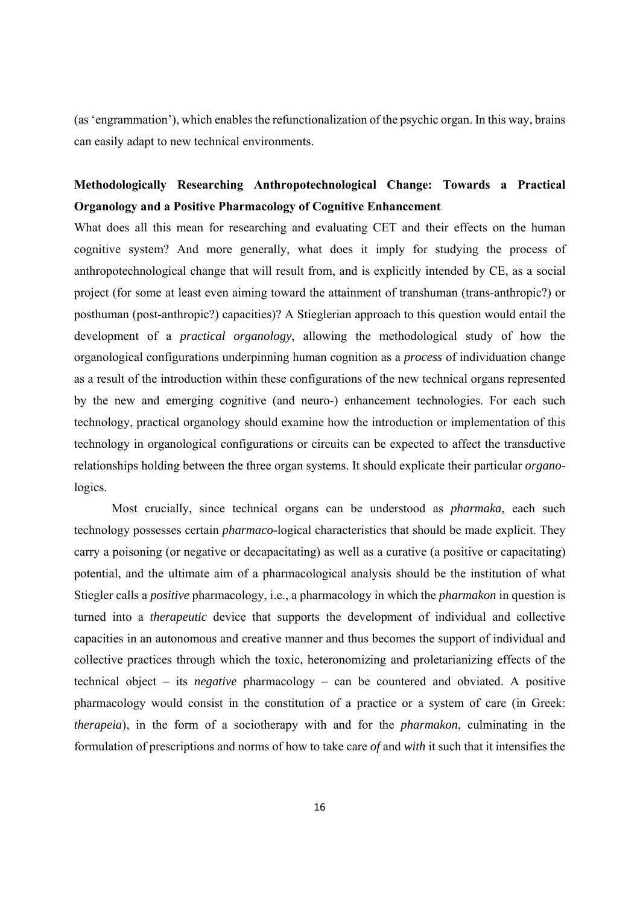(as 'engrammation'), which enables the refunctionalization of the psychic organ. In this way, brains can easily adapt to new technical environments.

# **Methodologically Researching Anthropotechnological Change: Towards a Practical Organology and a Positive Pharmacology of Cognitive Enhancement**

What does all this mean for researching and evaluating CET and their effects on the human cognitive system? And more generally, what does it imply for studying the process of anthropotechnological change that will result from, and is explicitly intended by CE, as a social project (for some at least even aiming toward the attainment of transhuman (trans-anthropic?) or posthuman (post-anthropic?) capacities)? A Stieglerian approach to this question would entail the development of a *practical organology*, allowing the methodological study of how the organological configurations underpinning human cognition as a *process* of individuation change as a result of the introduction within these configurations of the new technical organs represented by the new and emerging cognitive (and neuro-) enhancement technologies. For each such technology, practical organology should examine how the introduction or implementation of this technology in organological configurations or circuits can be expected to affect the transductive relationships holding between the three organ systems. It should explicate their particular *organo*logics.

 Most crucially, since technical organs can be understood as *pharmaka*, each such technology possesses certain *pharmaco*-logical characteristics that should be made explicit. They carry a poisoning (or negative or decapacitating) as well as a curative (a positive or capacitating) potential, and the ultimate aim of a pharmacological analysis should be the institution of what Stiegler calls a *positive* pharmacology, i.e., a pharmacology in which the *pharmakon* in question is turned into a *therapeutic* device that supports the development of individual and collective capacities in an autonomous and creative manner and thus becomes the support of individual and collective practices through which the toxic, heteronomizing and proletarianizing effects of the technical object – its *negative* pharmacology – can be countered and obviated. A positive pharmacology would consist in the constitution of a practice or a system of care (in Greek: *therapeia*), in the form of a sociotherapy with and for the *pharmakon*, culminating in the formulation of prescriptions and norms of how to take care *of* and *with* it such that it intensifies the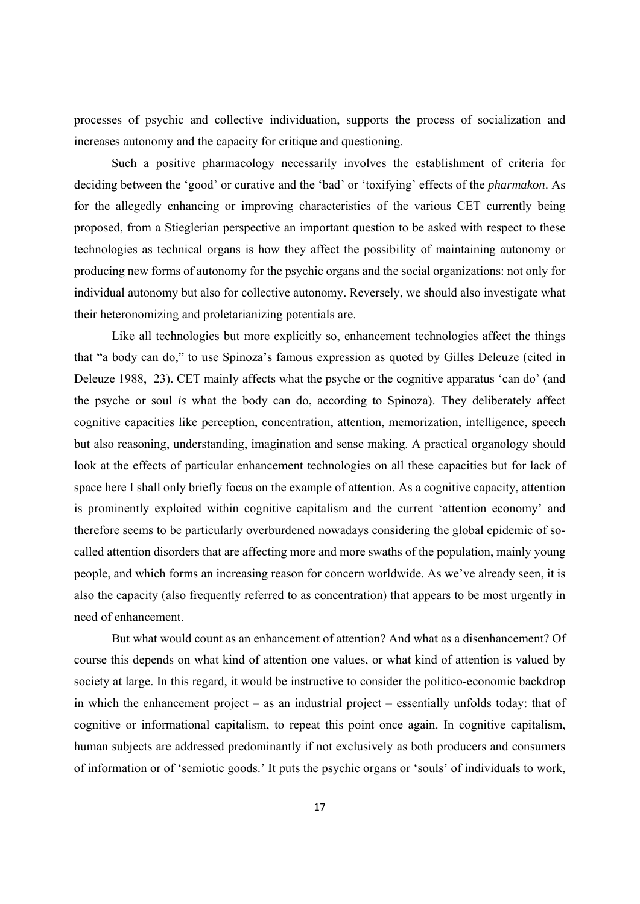processes of psychic and collective individuation, supports the process of socialization and increases autonomy and the capacity for critique and questioning.

 Such a positive pharmacology necessarily involves the establishment of criteria for deciding between the 'good' or curative and the 'bad' or 'toxifying' effects of the *pharmakon*. As for the allegedly enhancing or improving characteristics of the various CET currently being proposed, from a Stieglerian perspective an important question to be asked with respect to these technologies as technical organs is how they affect the possibility of maintaining autonomy or producing new forms of autonomy for the psychic organs and the social organizations: not only for individual autonomy but also for collective autonomy. Reversely, we should also investigate what their heteronomizing and proletarianizing potentials are.

 Like all technologies but more explicitly so, enhancement technologies affect the things that "a body can do," to use Spinoza's famous expression as quoted by Gilles Deleuze (cited in Deleuze 1988, 23). CET mainly affects what the psyche or the cognitive apparatus 'can do' (and the psyche or soul *is* what the body can do, according to Spinoza). They deliberately affect cognitive capacities like perception, concentration, attention, memorization, intelligence, speech but also reasoning, understanding, imagination and sense making. A practical organology should look at the effects of particular enhancement technologies on all these capacities but for lack of space here I shall only briefly focus on the example of attention. As a cognitive capacity, attention is prominently exploited within cognitive capitalism and the current 'attention economy' and therefore seems to be particularly overburdened nowadays considering the global epidemic of socalled attention disorders that are affecting more and more swaths of the population, mainly young people, and which forms an increasing reason for concern worldwide. As we've already seen, it is also the capacity (also frequently referred to as concentration) that appears to be most urgently in need of enhancement.

 But what would count as an enhancement of attention? And what as a disenhancement? Of course this depends on what kind of attention one values, or what kind of attention is valued by society at large. In this regard, it would be instructive to consider the politico-economic backdrop in which the enhancement project – as an industrial project – essentially unfolds today: that of cognitive or informational capitalism, to repeat this point once again. In cognitive capitalism, human subjects are addressed predominantly if not exclusively as both producers and consumers of information or of 'semiotic goods.' It puts the psychic organs or 'souls' of individuals to work,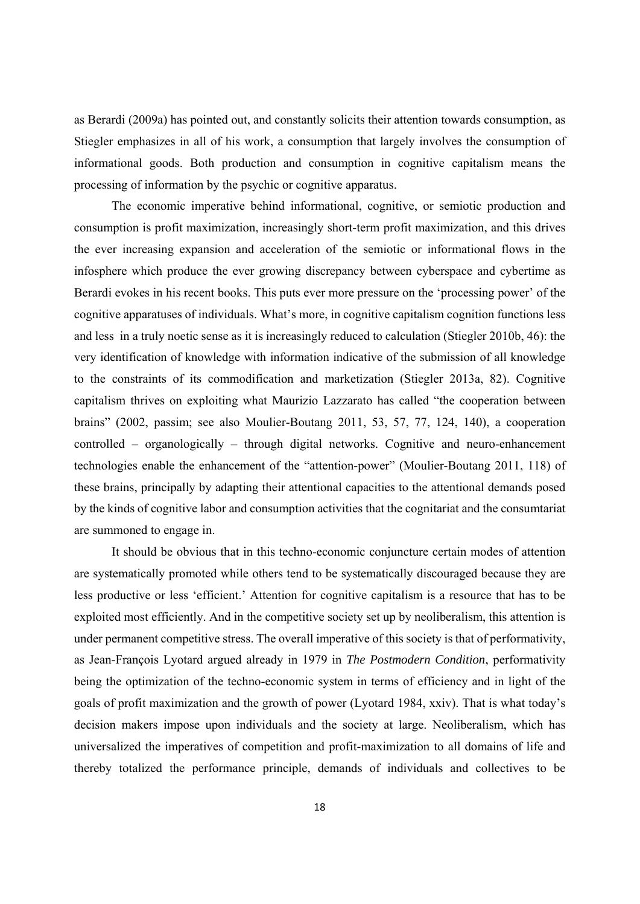as Berardi (2009a) has pointed out, and constantly solicits their attention towards consumption, as Stiegler emphasizes in all of his work, a consumption that largely involves the consumption of informational goods. Both production and consumption in cognitive capitalism means the processing of information by the psychic or cognitive apparatus.

 The economic imperative behind informational, cognitive, or semiotic production and consumption is profit maximization, increasingly short-term profit maximization, and this drives the ever increasing expansion and acceleration of the semiotic or informational flows in the infosphere which produce the ever growing discrepancy between cyberspace and cybertime as Berardi evokes in his recent books. This puts ever more pressure on the 'processing power' of the cognitive apparatuses of individuals. What's more, in cognitive capitalism cognition functions less and less in a truly noetic sense as it is increasingly reduced to calculation (Stiegler 2010b, 46): the very identification of knowledge with information indicative of the submission of all knowledge to the constraints of its commodification and marketization (Stiegler 2013a, 82). Cognitive capitalism thrives on exploiting what Maurizio Lazzarato has called "the cooperation between brains" (2002, passim; see also Moulier-Boutang 2011, 53, 57, 77, 124, 140), a cooperation controlled – organologically – through digital networks. Cognitive and neuro-enhancement technologies enable the enhancement of the "attention-power" (Moulier-Boutang 2011, 118) of these brains, principally by adapting their attentional capacities to the attentional demands posed by the kinds of cognitive labor and consumption activities that the cognitariat and the consumtariat are summoned to engage in.

 It should be obvious that in this techno-economic conjuncture certain modes of attention are systematically promoted while others tend to be systematically discouraged because they are less productive or less 'efficient.' Attention for cognitive capitalism is a resource that has to be exploited most efficiently. And in the competitive society set up by neoliberalism, this attention is under permanent competitive stress. The overall imperative of this society is that of performativity, as Jean-François Lyotard argued already in 1979 in *The Postmodern Condition*, performativity being the optimization of the techno-economic system in terms of efficiency and in light of the goals of profit maximization and the growth of power (Lyotard 1984, xxiv). That is what today's decision makers impose upon individuals and the society at large. Neoliberalism, which has universalized the imperatives of competition and profit-maximization to all domains of life and thereby totalized the performance principle, demands of individuals and collectives to be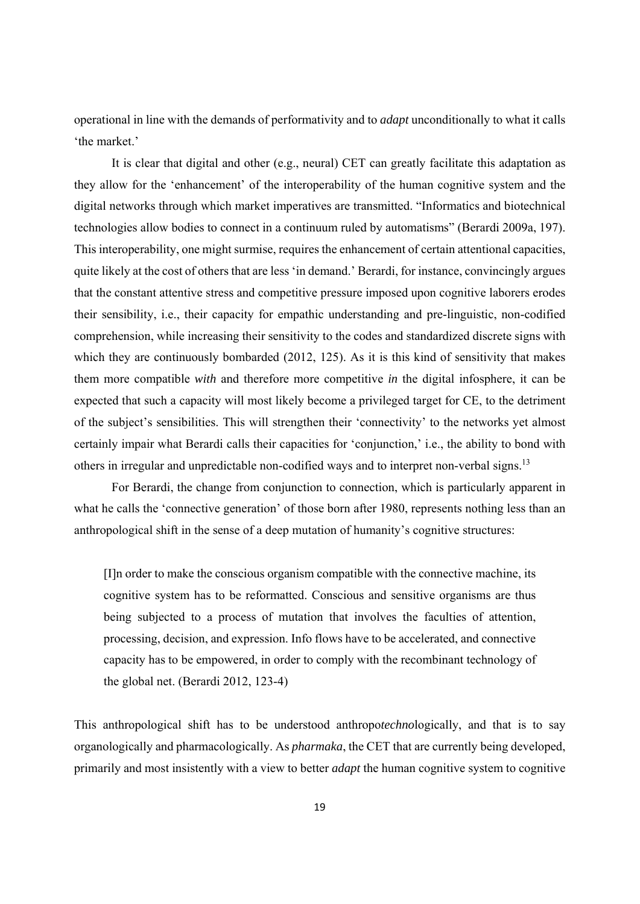operational in line with the demands of performativity and to *adapt* unconditionally to what it calls 'the market.'

 It is clear that digital and other (e.g., neural) CET can greatly facilitate this adaptation as they allow for the 'enhancement' of the interoperability of the human cognitive system and the digital networks through which market imperatives are transmitted. "Informatics and biotechnical technologies allow bodies to connect in a continuum ruled by automatisms" (Berardi 2009a, 197). This interoperability, one might surmise, requires the enhancement of certain attentional capacities, quite likely at the cost of others that are less 'in demand.' Berardi, for instance, convincingly argues that the constant attentive stress and competitive pressure imposed upon cognitive laborers erodes their sensibility, i.e., their capacity for empathic understanding and pre-linguistic, non-codified comprehension, while increasing their sensitivity to the codes and standardized discrete signs with which they are continuously bombarded (2012, 125). As it is this kind of sensitivity that makes them more compatible *with* and therefore more competitive *in* the digital infosphere, it can be expected that such a capacity will most likely become a privileged target for CE, to the detriment of the subject's sensibilities. This will strengthen their 'connectivity' to the networks yet almost certainly impair what Berardi calls their capacities for 'conjunction,' i.e., the ability to bond with others in irregular and unpredictable non-codified ways and to interpret non-verbal signs.13

 For Berardi, the change from conjunction to connection, which is particularly apparent in what he calls the 'connective generation' of those born after 1980, represents nothing less than an anthropological shift in the sense of a deep mutation of humanity's cognitive structures:

[I]n order to make the conscious organism compatible with the connective machine, its cognitive system has to be reformatted. Conscious and sensitive organisms are thus being subjected to a process of mutation that involves the faculties of attention, processing, decision, and expression. Info flows have to be accelerated, and connective capacity has to be empowered, in order to comply with the recombinant technology of the global net. (Berardi 2012, 123-4)

This anthropological shift has to be understood anthropo*techno*logically, and that is to say organologically and pharmacologically. As *pharmaka*, the CET that are currently being developed, primarily and most insistently with a view to better *adapt* the human cognitive system to cognitive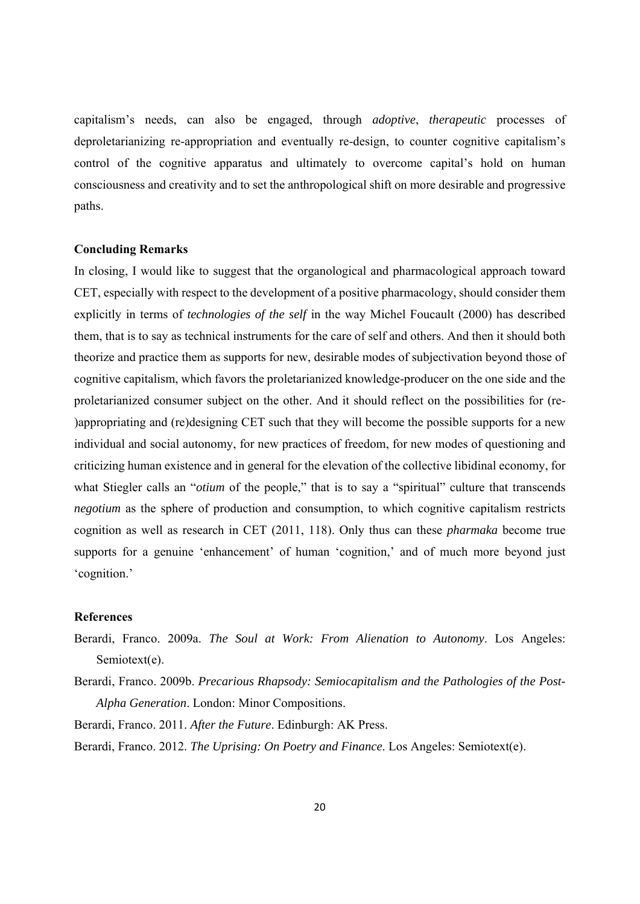capitalism's needs, can also be engaged, through *adoptive*, *therapeutic* processes of deproletarianizing re-appropriation and eventually re-design, to counter cognitive capitalism's control of the cognitive apparatus and ultimately to overcome capital's hold on human consciousness and creativity and to set the anthropological shift on more desirable and progressive paths.

#### **Concluding Remarks**

In closing, I would like to suggest that the organological and pharmacological approach toward CET, especially with respect to the development of a positive pharmacology, should consider them explicitly in terms of *technologies of the self* in the way Michel Foucault (2000) has described them, that is to say as technical instruments for the care of self and others. And then it should both theorize and practice them as supports for new, desirable modes of subjectivation beyond those of cognitive capitalism, which favors the proletarianized knowledge-producer on the one side and the proletarianized consumer subject on the other. And it should reflect on the possibilities for (re- )appropriating and (re)designing CET such that they will become the possible supports for a new individual and social autonomy, for new practices of freedom, for new modes of questioning and criticizing human existence and in general for the elevation of the collective libidinal economy, for what Stiegler calls an "*otium* of the people," that is to say a "spiritual" culture that transcends *negotium* as the sphere of production and consumption, to which cognitive capitalism restricts cognition as well as research in CET (2011, 118). Only thus can these *pharmaka* become true supports for a genuine 'enhancement' of human 'cognition,' and of much more beyond just 'cognition.'

### **References**

- Berardi, Franco. 2009a. *The Soul at Work: From Alienation to Autonomy*. Los Angeles: Semiotext(e).
- Berardi, Franco. 2009b. *Precarious Rhapsody: Semiocapitalism and the Pathologies of the Post-Alpha Generation*. London: Minor Compositions.

Berardi, Franco. 2011. *After the Future*. Edinburgh: AK Press.

Berardi, Franco. 2012. *The Uprising: On Poetry and Finance*. Los Angeles: Semiotext(e).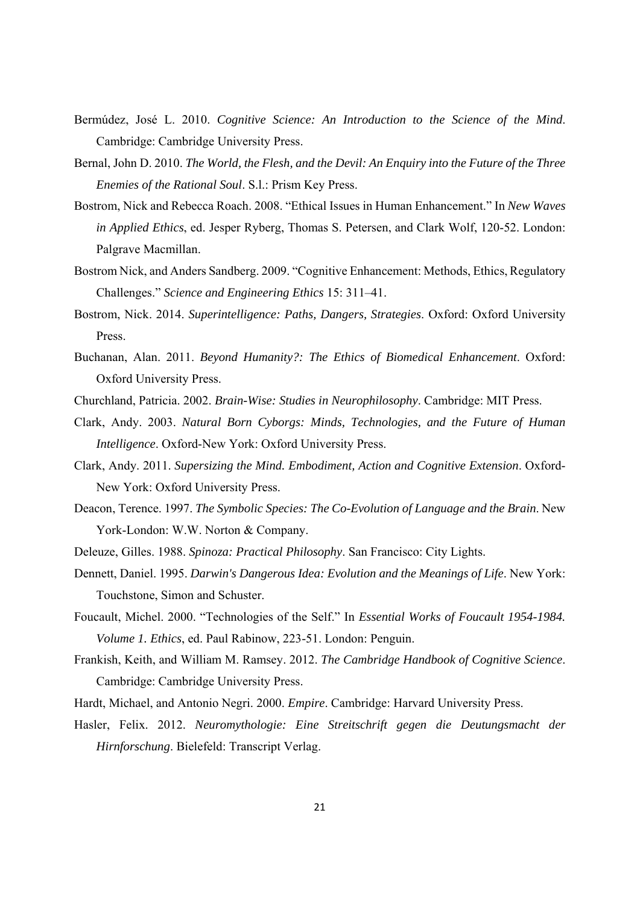- Bermúdez, José L. 2010. *Cognitive Science: An Introduction to the Science of the Mind*. Cambridge: Cambridge University Press.
- Bernal, John D. 2010. *The World, the Flesh, and the Devil: An Enquiry into the Future of the Three Enemies of the Rational Soul*. S.l.: Prism Key Press.
- Bostrom, Nick and Rebecca Roach. 2008. "Ethical Issues in Human Enhancement." In *New Waves in Applied Ethics*, ed. Jesper Ryberg, Thomas S. Petersen, and Clark Wolf, 120-52. London: Palgrave Macmillan.
- Bostrom Nick, and Anders Sandberg. 2009. "Cognitive Enhancement: Methods, Ethics, Regulatory Challenges." *Science and Engineering Ethics* 15: 311–41.
- Bostrom, Nick. 2014. *Superintelligence: Paths, Dangers, Strategies*. Oxford: Oxford University Press.
- Buchanan, Alan. 2011. *Beyond Humanity?: The Ethics of Biomedical Enhancement*. Oxford: Oxford University Press.
- Churchland, Patricia. 2002. *Brain-Wise: Studies in Neurophilosophy*. Cambridge: MIT Press.
- Clark, Andy. 2003. *Natural Born Cyborgs: Minds, Technologies, and the Future of Human Intelligence*. Oxford-New York: Oxford University Press.
- Clark, Andy. 2011. *Supersizing the Mind. Embodiment, Action and Cognitive Extension*. Oxford-New York: Oxford University Press.
- Deacon, Terence. 1997. *The Symbolic Species: The Co-Evolution of Language and the Brain*. New York-London: W.W. Norton & Company.
- Deleuze, Gilles. 1988. *Spinoza: Practical Philosophy*. San Francisco: City Lights.
- Dennett, Daniel. 1995. *Darwin's Dangerous Idea: Evolution and the Meanings of Life*. New York: Touchstone, Simon and Schuster.
- Foucault, Michel. 2000. "Technologies of the Self." In *Essential Works of Foucault 1954-1984. Volume 1. Ethics*, ed. Paul Rabinow, 223-51. London: Penguin.
- Frankish, Keith, and William M. Ramsey. 2012. *The Cambridge Handbook of Cognitive Science*. Cambridge: Cambridge University Press.
- Hardt, Michael, and Antonio Negri. 2000. *Empire*. Cambridge: Harvard University Press.
- Hasler, Felix. 2012. *Neuromythologie: Eine Streitschrift gegen die Deutungsmacht der Hirnforschung*. Bielefeld: Transcript Verlag.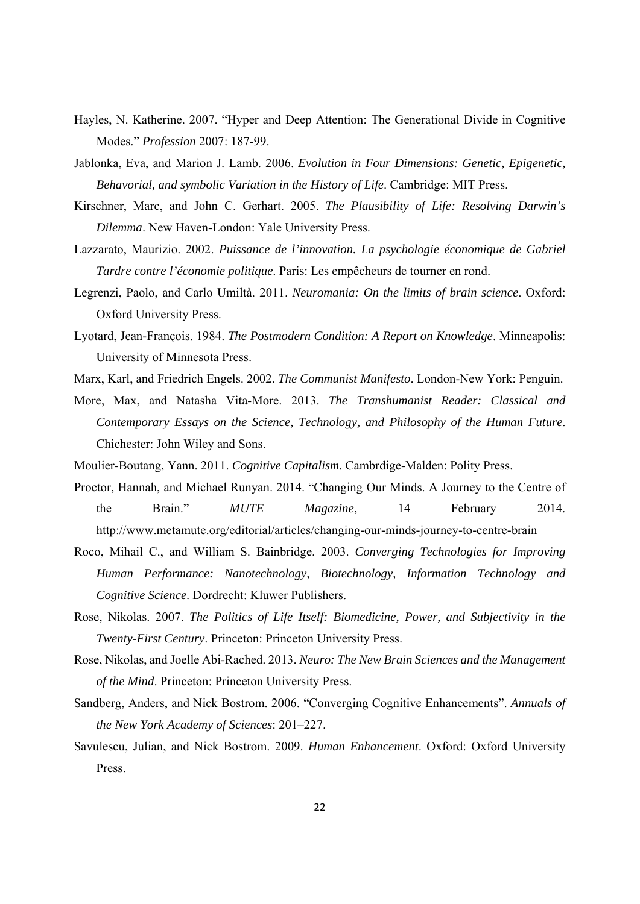- Hayles, N. Katherine. 2007. "Hyper and Deep Attention: The Generational Divide in Cognitive Modes." *Profession* 2007: 187-99.
- Jablonka, Eva, and Marion J. Lamb. 2006. *Evolution in Four Dimensions: Genetic, Epigenetic, Behavorial, and symbolic Variation in the History of Life*. Cambridge: MIT Press.
- Kirschner, Marc, and John C. Gerhart. 2005. *The Plausibility of Life: Resolving Darwin's Dilemma*. New Haven-London: Yale University Press.
- Lazzarato, Maurizio. 2002. *Puissance de l'innovation. La psychologie économique de Gabriel Tardre contre l'économie politique*. Paris: Les empêcheurs de tourner en rond.
- Legrenzi, Paolo, and Carlo Umiltà. 2011. *Neuromania: On the limits of brain science*. Oxford: Oxford University Press.
- Lyotard, Jean-François. 1984. *The Postmodern Condition: A Report on Knowledge*. Minneapolis: University of Minnesota Press.
- Marx, Karl, and Friedrich Engels. 2002. *The Communist Manifesto*. London-New York: Penguin.
- More, Max, and Natasha Vita-More. 2013. *The Transhumanist Reader: Classical and Contemporary Essays on the Science, Technology, and Philosophy of the Human Future*. Chichester: John Wiley and Sons.
- Moulier-Boutang, Yann. 2011. *Cognitive Capitalism*. Cambrdige-Malden: Polity Press.
- Proctor, Hannah, and Michael Runyan. 2014. "Changing Our Minds. A Journey to the Centre of the Brain." *MUTE Magazine*, 14 February 2014. http://www.metamute.org/editorial/articles/changing-our-minds-journey-to-centre-brain
- Roco, Mihail C., and William S. Bainbridge. 2003. *Converging Technologies for Improving Human Performance: Nanotechnology, Biotechnology, Information Technology and Cognitive Science*. Dordrecht: Kluwer Publishers.
- Rose, Nikolas. 2007. *The Politics of Life Itself: Biomedicine, Power, and Subjectivity in the Twenty-First Century*. Princeton: Princeton University Press.
- Rose, Nikolas, and Joelle Abi-Rached. 2013. *Neuro: The New Brain Sciences and the Management of the Mind*. Princeton: Princeton University Press.
- Sandberg, Anders, and Nick Bostrom. 2006. "Converging Cognitive Enhancements". *Annuals of the New York Academy of Sciences*: 201–227.
- Savulescu, Julian, and Nick Bostrom. 2009. *Human Enhancement*. Oxford: Oxford University Press.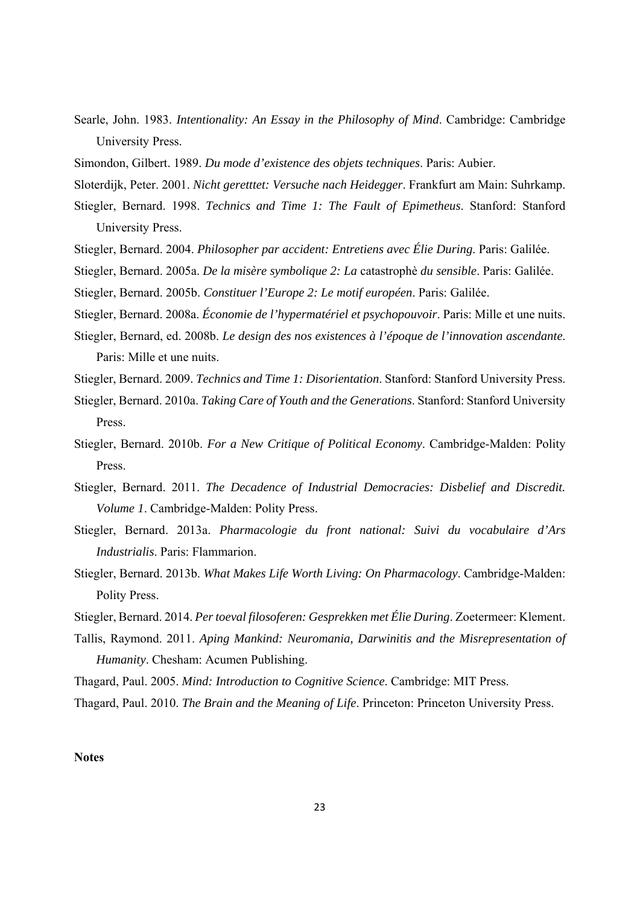- Searle, John. 1983. *Intentionality: An Essay in the Philosophy of Mind*. Cambridge: Cambridge University Press.
- Simondon, Gilbert. 1989. *Du mode d'existence des objets techniques*. Paris: Aubier.
- Sloterdijk, Peter. 2001. *Nicht geretttet: Versuche nach Heidegger*. Frankfurt am Main: Suhrkamp.
- Stiegler, Bernard. 1998. *Technics and Time 1: The Fault of Epimetheus*. Stanford: Stanford University Press.
- Stiegler, Bernard. 2004. *Philosopher par accident: Entretiens avec Élie During*. Paris: Galilée.
- Stiegler, Bernard. 2005a. *De la misère symbolique 2: La* catastrophè *du sensible*. Paris: Galilée.
- Stiegler, Bernard. 2005b. *Constituer l'Europe 2: Le motif européen*. Paris: Galilée.
- Stiegler, Bernard. 2008a. *Économie de l'hypermatériel et psychopouvoir*. Paris: Mille et une nuits.
- Stiegler, Bernard, ed. 2008b. *Le design des nos existences à l'époque de l'innovation ascendante*. Paris: Mille et une nuits.
- Stiegler, Bernard. 2009. *Technics and Time 1: Disorientation*. Stanford: Stanford University Press.
- Stiegler, Bernard. 2010a. *Taking Care of Youth and the Generations*. Stanford: Stanford University Press.
- Stiegler, Bernard. 2010b. *For a New Critique of Political Economy*. Cambridge-Malden: Polity Press.
- Stiegler, Bernard. 2011. *The Decadence of Industrial Democracies: Disbelief and Discredit. Volume 1*. Cambridge-Malden: Polity Press.
- Stiegler, Bernard. 2013a. *Pharmacologie du front national: Suivi du vocabulaire d'Ars Industrialis*. Paris: Flammarion.
- Stiegler, Bernard. 2013b. *What Makes Life Worth Living: On Pharmacology*. Cambridge-Malden: Polity Press.
- Stiegler, Bernard. 2014. *Per toeval filosoferen: Gesprekken met Élie During*. Zoetermeer: Klement.
- Tallis, Raymond. 2011. *Aping Mankind: Neuromania, Darwinitis and the Misrepresentation of Humanity*. Chesham: Acumen Publishing.
- Thagard, Paul. 2005. *Mind: Introduction to Cognitive Science*. Cambridge: MIT Press.
- Thagard, Paul. 2010. *The Brain and the Meaning of Life*. Princeton: Princeton University Press.

**Notes**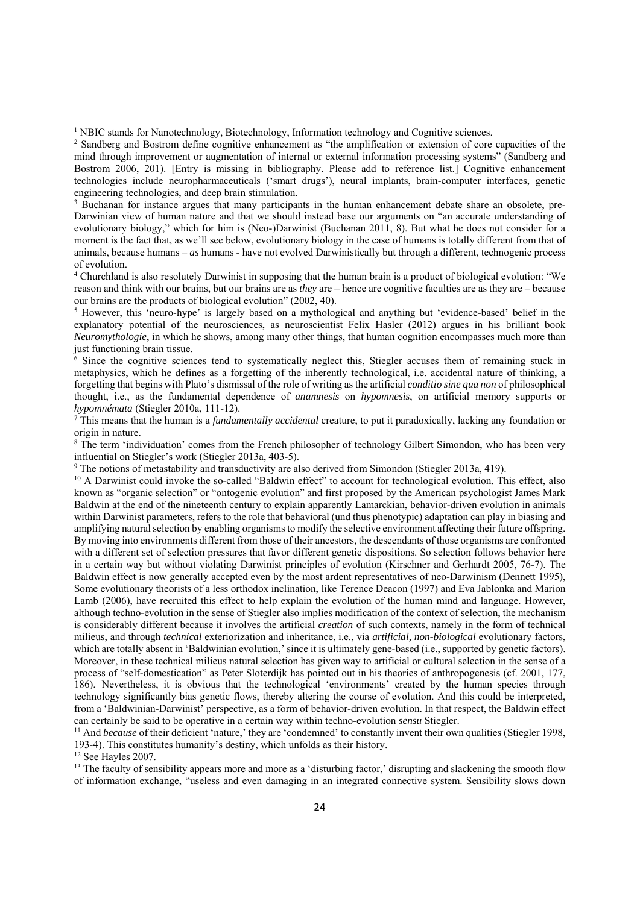<sup>9</sup> The notions of metastability and transductivity are also derived from Simondon (Stiegler 2013a, 419).

<sup>10</sup> A Darwinist could invoke the so-called "Baldwin effect" to account for technological evolution. This effect, also known as "organic selection" or "ontogenic evolution" and first proposed by the American psychologist James Mark Baldwin at the end of the nineteenth century to explain apparently Lamarckian, behavior-driven evolution in animals within Darwinist parameters, refers to the role that behavioral (und thus phenotypic) adaptation can play in biasing and amplifying natural selection by enabling organisms to modify the selective environment affecting their future offspring. By moving into environments different from those of their ancestors, the descendants of those organisms are confronted with a different set of selection pressures that favor different genetic dispositions. So selection follows behavior here in a certain way but without violating Darwinist principles of evolution (Kirschner and Gerhardt 2005, 76-7). The Baldwin effect is now generally accepted even by the most ardent representatives of neo-Darwinism (Dennett 1995), Some evolutionary theorists of a less orthodox inclination, like Terence Deacon (1997) and Eva Jablonka and Marion Lamb (2006), have recruited this effect to help explain the evolution of the human mind and language. However, although techno-evolution in the sense of Stiegler also implies modification of the context of selection, the mechanism is considerably different because it involves the artificial *creation* of such contexts, namely in the form of technical milieus, and through *technical* exteriorization and inheritance, i.e., via *artificial, non-biological* evolutionary factors, which are totally absent in 'Baldwinian evolution,' since it is ultimately gene-based (i.e., supported by genetic factors). Moreover, in these technical milieus natural selection has given way to artificial or cultural selection in the sense of a process of "self-domestication" as Peter Sloterdijk has pointed out in his theories of anthropogenesis (cf. 2001, 177, 186). Nevertheless, it is obvious that the technological 'environments' created by the human species through technology significantly bias genetic flows, thereby altering the course of evolution. And this could be interpreted, from a 'Baldwinian-Darwinist' perspective, as a form of behavior-driven evolution. In that respect, the Baldwin effect can certainly be said to be operative in a certain way within techno-evolution *sensu* Stiegler.<br><sup>11</sup> And *because* of their deficient 'nature,' they are 'condemned' to constantly invent their own qualities (Stiegler 1998,

193-4). This constitutes humanity's destiny, which unfolds as their history. 12 See Hayles 2007.

 $<sup>13</sup>$  The faculty of sensibility appears more and more as a 'disturbing factor,' disrupting and slackening the smooth flow</sup> of information exchange, "useless and even damaging in an integrated connective system. Sensibility slows down

<sup>&</sup>lt;sup>1</sup> NBIC stands for Nanotechnology, Biotechnology, Information technology and Cognitive sciences.<br><sup>2</sup> Sandberg and Bostrom define cognitive enhancement as "the amplification or extension of core

<sup>&</sup>lt;sup>2</sup> Sandberg and Bostrom define cognitive enhancement as "the amplification or extension of core capacities of the mind through improvement or augmentation of internal or external information processing systems" (Sandberg and Bostrom 2006, 201). [Entry is missing in bibliography. Please add to reference list.] Cognitive enhancement technologies include neuropharmaceuticals ('smart drugs'), neural implants, brain-computer interfaces, genetic engineering technologies, and deep brain stimulation.

<sup>&</sup>lt;sup>3</sup> Buchanan for instance argues that many participants in the human enhancement debate share an obsolete, pre-Darwinian view of human nature and that we should instead base our arguments on "an accurate understanding of evolutionary biology," which for him is (Neo-)Darwinist (Buchanan 2011, 8). But what he does not consider for a moment is the fact that, as we'll see below, evolutionary biology in the case of humans is totally different from that of animals, because humans – *as* humans - have not evolved Darwinistically but through a different, technogenic process of evolution.

<sup>4</sup> Churchland is also resolutely Darwinist in supposing that the human brain is a product of biological evolution: "We reason and think with our brains, but our brains are as *they* are – hence are cognitive faculties are as they are – because our brains are the products of biological evolution" (2002, 40).

<sup>&</sup>lt;sup>5</sup> However, this 'neuro-hype' is largely based on a mythological and anything but 'evidence-based' belief in the explanatory potential of the neurosciences, as neuroscientist Felix Hasler (2012) argues in his brilliant book *Neuromythologie*, in which he shows, among many other things, that human cognition encompasses much more than just functioning brain tissue.

<sup>&</sup>lt;sup>6</sup> Since the cognitive sciences tend to systematically neglect this, Stiegler accuses them of remaining stuck in metaphysics, which he defines as a forgetting of the inherently technological, i.e. accidental nature of thinking, a forgetting that begins with Plato's dismissal of the role of writing as the artificial *conditio sine qua non* of philosophical thought, i.e., as the fundamental dependence of *anamnesis* on *hypomnesis*, on artificial memory supports or *hypomnémata* (Stiegler 2010a, 111-12).

This means that the human is a *fundamentally accidental* creature, to put it paradoxically, lacking any foundation or origin in nature.

<sup>&</sup>lt;sup>8</sup> The term 'individuation' comes from the French philosopher of technology Gilbert Simondon, who has been very influential on Stiegler's work (Stiegler 2013a, 403-5).